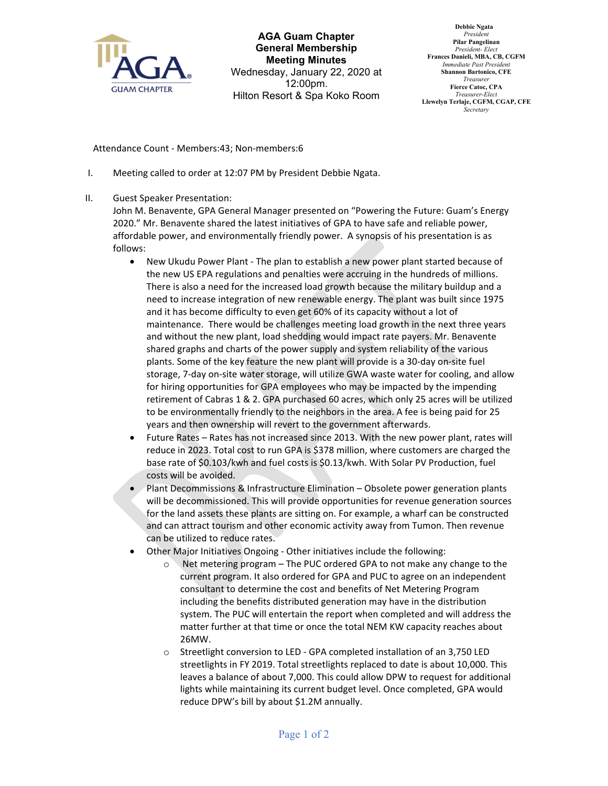

**AGA Guam Chapter General Membership Meeting Minutes** Wednesday, January 22, 2020 at 12:00pm. Hilton Resort & Spa Koko Room

 **Debbie Ngata** *President* **Pilar Pangelinan** *President- Elect* **Frances Danieli, MBA, CB, CGFM** *Immediate Past President* **Shannon Bartonico, CFE** *Treasurer* **Fierce Catoc, CPA** *Treasurer-Elect* **Llewelyn Terlaje, CGFM, CGAP, CFE** *Secretary*

Attendance Count ‐ Members:43; Non‐members:6

- I. Meeting called to order at 12:07 PM by President Debbie Ngata.
- II. Guest Speaker Presentation:

John M. Benavente, GPA General Manager presented on "Powering the Future: Guam's Energy 2020." Mr. Benavente shared the latest initiatives of GPA to have safe and reliable power, affordable power, and environmentally friendly power. A synopsis of his presentation is as follows:

- New Ukudu Power Plant ‐ The plan to establish a new power plant started because of the new US EPA regulations and penalties were accruing in the hundreds of millions. There is also a need for the increased load growth because the military buildup and a need to increase integration of new renewable energy. The plant was built since 1975 and it has become difficulty to even get 60% of its capacity without a lot of maintenance. There would be challenges meeting load growth in the next three years and without the new plant, load shedding would impact rate payers. Mr. Benavente shared graphs and charts of the power supply and system reliability of the various plants. Some of the key feature the new plant will provide is a 30‐day on‐site fuel storage, 7‐day on‐site water storage, will utilize GWA waste water for cooling, and allow for hiring opportunities for GPA employees who may be impacted by the impending retirement of Cabras 1 & 2. GPA purchased 60 acres, which only 25 acres will be utilized to be environmentally friendly to the neighbors in the area. A fee is being paid for 25 years and then ownership will revert to the government afterwards.
- Future Rates Rates has not increased since 2013. With the new power plant, rates will reduce in 2023. Total cost to run GPA is \$378 million, where customers are charged the base rate of \$0.103/kwh and fuel costs is \$0.13/kwh. With Solar PV Production, fuel costs will be avoided.
- Plant Decommissions & Infrastructure Elimination Obsolete power generation plants will be decommissioned. This will provide opportunities for revenue generation sources for the land assets these plants are sitting on. For example, a wharf can be constructed and can attract tourism and other economic activity away from Tumon. Then revenue can be utilized to reduce rates.
- Other Major Initiatives Ongoing ‐ Other initiatives include the following:
	- o Net metering program The PUC ordered GPA to not make any change to the current program. It also ordered for GPA and PUC to agree on an independent consultant to determine the cost and benefits of Net Metering Program including the benefits distributed generation may have in the distribution system. The PUC will entertain the report when completed and will address the matter further at that time or once the total NEM KW capacity reaches about 26MW.
	- o Streetlight conversion to LED ‐ GPA completed installation of an 3,750 LED streetlights in FY 2019. Total streetlights replaced to date is about 10,000. This leaves a balance of about 7,000. This could allow DPW to request for additional lights while maintaining its current budget level. Once completed, GPA would reduce DPW's bill by about \$1.2M annually.